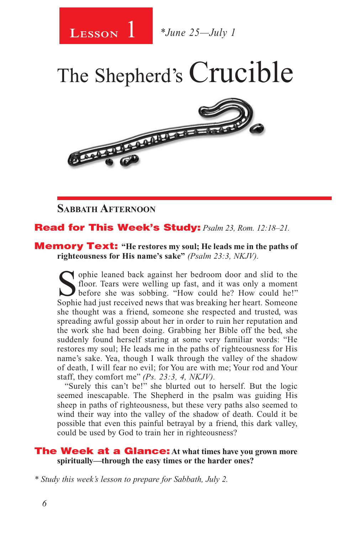

1 *\*June 25—July 1*

The Shepherd's Crucible



**Sabbath Afternoon**

## Read for This Week's Study: *Psalm 23, Rom. 12:18–21.*

#### Memory Text: **"He restores my soul; He leads me in the paths of righteousness for His name's sake"** *(Psalm 23:3, NKJV).*

Sophie leaned back against her bedroom door and slid to the floor. Tears were welling up fast, and it was only a moment before she was sobbing. "How could he? How could he!" floor. Tears were welling up fast, and it was only a moment Sophie had just received news that was breaking her heart. Someone she thought was a friend, someone she respected and trusted, was spreading awful gossip about her in order to ruin her reputation and the work she had been doing. Grabbing her Bible off the bed, she suddenly found herself staring at some very familiar words: "He restores my soul; He leads me in the paths of righteousness for His name's sake. Yea, though I walk through the valley of the shadow of death, I will fear no evil; for You are with me; Your rod and Your staff, they comfort me" *(Ps. 23:3, 4, NKJV).* 

"Surely this can't be!" she blurted out to herself. But the logic seemed inescapable. The Shepherd in the psalm was guiding His sheep in paths of righteousness, but these very paths also seemed to wind their way into the valley of the shadow of death. Could it be possible that even this painful betrayal by a friend, this dark valley, could be used by God to train her in righteousness?

#### The Week at a Glance: **At what times have you grown more spiritually—through the easy times or the harder ones?**

*\* Study this week's lesson to prepare for Sabbath, July 2.*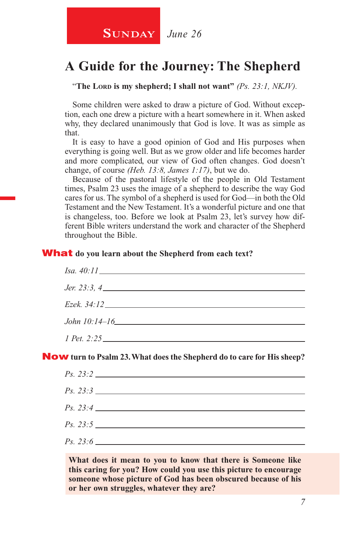**SUNDAY** June 26

## **A Guide for the Journey: The Shepherd**

"The Lord is my shepherd; I shall not want" *(Ps. 23:1, NKJV).* 

Some children were asked to draw a picture of God. Without exception, each one drew a picture with a heart somewhere in it. When asked why, they declared unanimously that God is love. It was as simple as that.

It is easy to have a good opinion of God and His purposes when everything is going well. But as we grow older and life becomes harder and more complicated, our view of God often changes. God doesn't change, of course *(Heb. 13:8, James 1:17)*, but we do.

Because of the pastoral lifestyle of the people in Old Testament times, Psalm 23 uses the image of a shepherd to describe the way God cares for us. The symbol of a shepherd is used for God—in both the Old Testament and the New Testament. It's a wonderful picture and one that is changeless, too. Before we look at Psalm 23, let's survey how different Bible writers understand the work and character of the Shepherd throughout the Bible.

#### What **do you learn about the Shepherd from each text?**

| <i>Jer.</i> 23:3, 4 |  |  |
|---------------------|--|--|
|                     |  |  |
|                     |  |  |
|                     |  |  |
| 1 Pet. 2:25         |  |  |

Now **turn to Psalm 23. What does the Shepherd do to care for His sheep?**

**What does it mean to you to know that there is Someone like this caring for you? How could you use this picture to encourage someone whose picture of God has been obscured because of his or her own struggles, whatever they are?**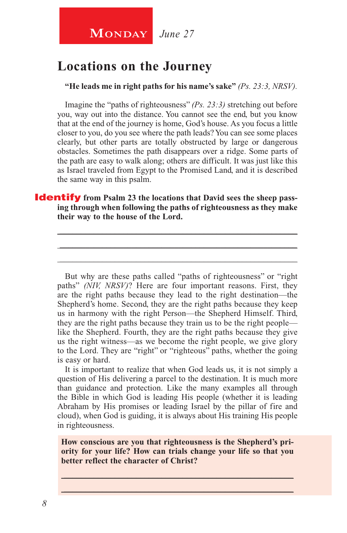## **Locations on the Journey**

**"He leads me in right paths for his name's sake"** *(Ps. 23:3, NRSV).*

Imagine the "paths of righteousness" *(Ps. 23:3)* stretching out before you, way out into the distance. You cannot see the end, but you know that at the end of the journey is home, God's house. As you focus a little closer to you, do you see where the path leads? You can see some places clearly, but other parts are totally obstructed by large or dangerous obstacles. Sometimes the path disappears over a ridge. Some parts of the path are easy to walk along; others are difficult. It was just like this as Israel traveled from Egypt to the Promised Land, and it is described the same way in this psalm.

**Identify** from Psalm 23 the locations that David sees the sheep pass**ing through when following the paths of righteousness as they make their way to the house of the Lord.**

\_\_\_\_\_\_\_\_\_\_\_\_\_\_\_\_\_\_\_\_\_\_\_\_\_\_\_\_\_\_\_\_\_\_\_\_\_\_\_\_\_\_\_\_\_\_\_\_\_\_\_\_\_\_\_\_ \_\_\_\_\_\_\_\_\_\_\_\_\_\_\_\_\_\_\_\_\_\_\_\_\_\_\_\_\_\_\_\_\_\_\_\_\_\_\_\_\_\_\_\_\_\_\_\_\_\_\_\_\_\_\_\_ \_\_\_\_\_\_\_\_\_\_\_\_\_\_\_\_\_\_\_\_\_\_\_\_\_\_\_\_\_\_\_\_\_\_\_\_\_\_\_\_\_\_\_\_\_\_\_\_\_\_\_\_\_\_\_\_

But why are these paths called "paths of righteousness" or "right paths" *(NIV, NRSV)*? Here are four important reasons. First, they are the right paths because they lead to the right destination—the Shepherd's home. Second, they are the right paths because they keep us in harmony with the right Person—the Shepherd Himself. Third, they are the right paths because they train us to be the right people like the Shepherd. Fourth, they are the right paths because they give us the right witness—as we become the right people, we give glory to the Lord. They are "right" or "righteous" paths, whether the going is easy or hard.

It is important to realize that when God leads us, it is not simply a question of His delivering a parcel to the destination. It is much more than guidance and protection. Like the many examples all through the Bible in which God is leading His people (whether it is leading Abraham by His promises or leading Israel by the pillar of fire and cloud), when God is guiding, it is always about His training His people in righteousness.

**How conscious are you that righteousness is the Shepherd's priority for your life? How can trials change your life so that you better reflect the character of Christ?**

\_\_\_\_\_\_\_\_\_\_\_\_\_\_\_\_\_\_\_\_\_\_\_\_\_\_\_\_\_\_\_\_\_\_\_\_\_\_\_\_\_\_\_\_\_\_\_\_\_\_\_\_\_\_ \_\_\_\_\_\_\_\_\_\_\_\_\_\_\_\_\_\_\_\_\_\_\_\_\_\_\_\_\_\_\_\_\_\_\_\_\_\_\_\_\_\_\_\_\_\_\_\_\_\_\_\_\_\_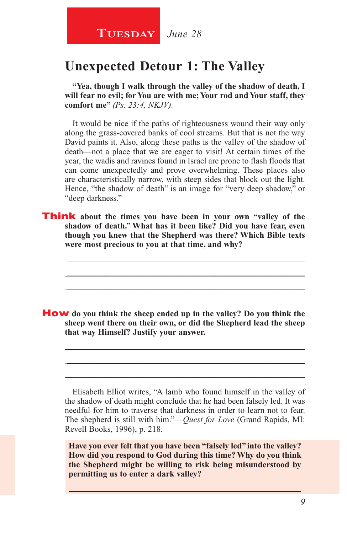**TUESDAY** June 28

## **Unexpected Detour 1: The Valley**

**"Yea, though I walk through the valley of the shadow of death, I will fear no evil; for You are with me; Your rod and Your staff, they comfort me"** *(Ps. 23:4, NKJV).*

It would be nice if the paths of righteousness wound their way only along the grass-covered banks of cool streams. But that is not the way David paints it. Also, along these paths is the valley of the shadow of death—not a place that we are eager to visit! At certain times of the year, the wadis and ravines found in Israel are prone to flash floods that can come unexpectedly and prove overwhelming. These places also are characteristically narrow, with steep sides that block out the light. Hence, "the shadow of death" is an image for "very deep shadow," or "deep darkness."

**Think** about the times you have been in your own "valley of the **shadow of death." What has it been like? Did you have fear, even though you knew that the Shepherd was there? Which Bible texts were most precious to you at that time, and why?**

\_\_\_\_\_\_\_\_\_\_\_\_\_\_\_\_\_\_\_\_\_\_\_\_\_\_\_\_\_\_\_\_\_\_\_\_\_\_\_\_\_\_\_\_\_\_\_\_\_\_\_\_\_\_\_\_ \_\_\_\_\_\_\_\_\_\_\_\_\_\_\_\_\_\_\_\_\_\_\_\_\_\_\_\_\_\_\_\_\_\_\_\_\_\_\_\_\_\_\_\_\_\_\_\_\_\_\_\_\_\_\_\_ \_\_\_\_\_\_\_\_\_\_\_\_\_\_\_\_\_\_\_\_\_\_\_\_\_\_\_\_\_\_\_\_\_\_\_\_\_\_\_\_\_\_\_\_\_\_\_\_\_\_\_\_\_\_\_\_

How **do you think the sheep ended up in the valley? Do you think the sheep went there on their own, or did the Shepherd lead the sheep that way Himself? Justify your answer.** 

Elisabeth Elliot writes, "A lamb who found himself in the valley of the shadow of death might conclude that he had been falsely led. It was needful for him to traverse that darkness in order to learn not to fear. The shepherd is still with him."—*Quest for Love* (Grand Rapids, MI: Revell Books, 1996), p. 218.

\_\_\_\_\_\_\_\_\_\_\_\_\_\_\_\_\_\_\_\_\_\_\_\_\_\_\_\_\_\_\_\_\_\_\_\_\_\_\_\_\_\_\_\_\_\_\_\_\_\_\_\_\_\_\_\_ \_\_\_\_\_\_\_\_\_\_\_\_\_\_\_\_\_\_\_\_\_\_\_\_\_\_\_\_\_\_\_\_\_\_\_\_\_\_\_\_\_\_\_\_\_\_\_\_\_\_\_\_\_\_\_\_ \_\_\_\_\_\_\_\_\_\_\_\_\_\_\_\_\_\_\_\_\_\_\_\_\_\_\_\_\_\_\_\_\_\_\_\_\_\_\_\_\_\_\_\_\_\_\_\_\_\_\_\_\_\_\_\_

**Have you ever felt that you have been "falsely led" into the valley? How did you respond to God during this time? Why do you think the Shepherd might be willing to risk being misunderstood by permitting us to enter a dark valley?**

\_\_\_\_\_\_\_\_\_\_\_\_\_\_\_\_\_\_\_\_\_\_\_\_\_\_\_\_\_\_\_\_\_\_\_\_\_\_\_\_\_\_\_\_\_\_\_\_\_\_\_\_\_\_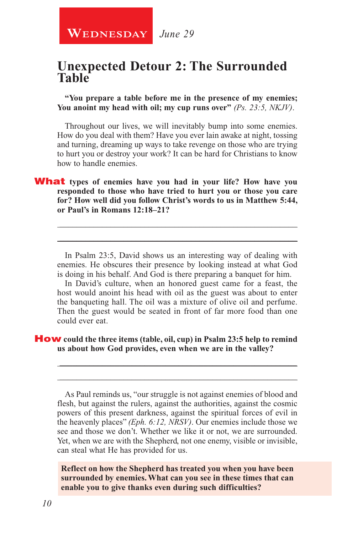## **Unexpected Detour 2: The Surrounded Table**

**"You prepare a table before me in the presence of my enemies; You anoint my head with oil; my cup runs over"** *(Ps. 23:5, NKJV)*.

Throughout our lives, we will inevitably bump into some enemies. How do you deal with them? Have you ever lain awake at night, tossing and turning, dreaming up ways to take revenge on those who are trying to hurt you or destroy your work? It can be hard for Christians to know how to handle enemies.

#### What **types of enemies have you had in your life? How have you responded to those who have tried to hurt you or those you care for? How well did you follow Christ's words to us in Matthew 5:44, or Paul's in Romans 12:18–21?**

In Psalm 23:5, David shows us an interesting way of dealing with enemies. He obscures their presence by looking instead at what God is doing in his behalf. And God is there preparing a banquet for him.

\_\_\_\_\_\_\_\_\_\_\_\_\_\_\_\_\_\_\_\_\_\_\_\_\_\_\_\_\_\_\_\_\_\_\_\_\_\_\_\_\_\_\_\_\_\_\_\_\_\_\_\_\_\_\_\_ \_\_\_\_\_\_\_\_\_\_\_\_\_\_\_\_\_\_\_\_\_\_\_\_\_\_\_\_\_\_\_\_\_\_\_\_\_\_\_\_\_\_\_\_\_\_\_\_\_\_\_\_\_\_\_\_

In David's culture, when an honored guest came for a feast, the host would anoint his head with oil as the guest was about to enter the banqueting hall. The oil was a mixture of olive oil and perfume. Then the guest would be seated in front of far more food than one could ever eat.

#### How **could the three items (table, oil, cup) in Psalm 23:5 help to remind us about how God provides, even when we are in the valley?**

As Paul reminds us, "our struggle is not against enemies of blood and flesh, but against the rulers, against the authorities, against the cosmic powers of this present darkness, against the spiritual forces of evil in the heavenly places" *(Eph. 6:12, NRSV)*. Our enemies include those we see and those we don't. Whether we like it or not, we are surrounded. Yet, when we are with the Shepherd, not one enemy, visible or invisible, can steal what He has provided for us.

\_\_\_\_\_\_\_\_\_\_\_\_\_\_\_\_\_\_\_\_\_\_\_\_\_\_\_\_\_\_\_\_\_\_\_\_\_\_\_\_\_\_\_\_\_\_\_\_\_\_\_\_\_\_\_\_ \_\_\_\_\_\_\_\_\_\_\_\_\_\_\_\_\_\_\_\_\_\_\_\_\_\_\_\_\_\_\_\_\_\_\_\_\_\_\_\_\_\_\_\_\_\_\_\_\_\_\_\_\_\_\_\_

**Reflect on how the Shepherd has treated you when you have been surrounded by enemies. What can you see in these times that can enable you to give thanks even during such difficulties?**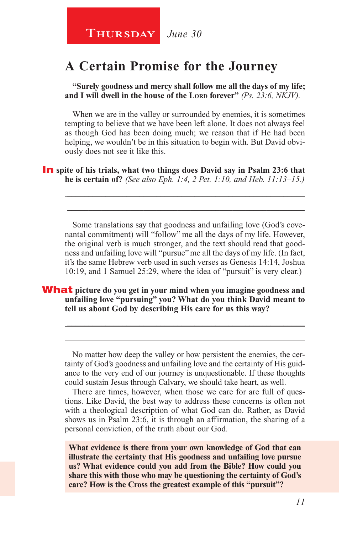## **A Certain Promise for the Journey**

**"Surely goodness and mercy shall follow me all the days of my life;**  and I will dwell in the house of the Lord forever" (Ps. 23:6, NKJV).

When we are in the valley or surrounded by enemies, it is sometimes tempting to believe that we have been left alone. It does not always feel as though God has been doing much; we reason that if He had been helping, we wouldn't be in this situation to begin with. But David obviously does not see it like this.

**In** spite of his trials, what two things does David say in Psalm 23:6 that **he is certain of?** *(See also Eph. 1:4, 2 Pet. 1:10, and Heb. 11:13–15.)*

Some translations say that goodness and unfailing love (God's covenantal commitment) will "follow" me all the days of my life. However, the original verb is much stronger, and the text should read that goodness and unfailing love will "pursue" me all the days of my life. (In fact, it's the same Hebrew verb used in such verses as Genesis 14:14, Joshua 10:19, and 1 Samuel 25:29, where the idea of "pursuit" is very clear.)

\_\_\_\_\_\_\_\_\_\_\_\_\_\_\_\_\_\_\_\_\_\_\_\_\_\_\_\_\_\_\_\_\_\_\_\_\_\_\_\_\_\_\_\_\_\_\_\_\_\_\_\_\_\_\_\_ \_\_\_\_\_\_\_\_\_\_\_\_\_\_\_\_\_\_\_\_\_\_\_\_\_\_\_\_\_\_\_\_\_\_\_\_\_\_\_\_\_\_\_\_\_\_\_\_\_\_\_\_\_\_\_\_

What **picture do you get in your mind when you imagine goodness and unfailing love "pursuing" you? What do you think David meant to tell us about God by describing His care for us this way?**

No matter how deep the valley or how persistent the enemies, the certainty of God's goodness and unfailing love and the certainty of His guidance to the very end of our journey is unquestionable. If these thoughts could sustain Jesus through Calvary, we should take heart, as well.

\_\_\_\_\_\_\_\_\_\_\_\_\_\_\_\_\_\_\_\_\_\_\_\_\_\_\_\_\_\_\_\_\_\_\_\_\_\_\_\_\_\_\_\_\_\_\_\_\_\_\_\_\_\_\_\_ \_\_\_\_\_\_\_\_\_\_\_\_\_\_\_\_\_\_\_\_\_\_\_\_\_\_\_\_\_\_\_\_\_\_\_\_\_\_\_\_\_\_\_\_\_\_\_\_\_\_\_\_\_\_\_\_

There are times, however, when those we care for are full of questions. Like David, the best way to address these concerns is often not with a theological description of what God can do. Rather, as David shows us in Psalm 23:6, it is through an affirmation, the sharing of a personal conviction, of the truth about our God.

**What evidence is there from your own knowledge of God that can illustrate the certainty that His goodness and unfailing love pursue us? What evidence could you add from the Bible? How could you share this with those who may be questioning the certainty of God's care? How is the Cross the greatest example of this "pursuit"?**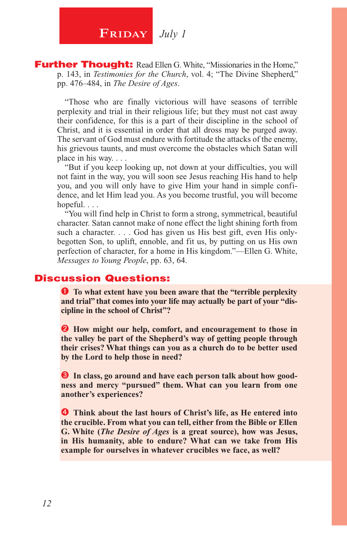**FRIDAY** July 1

**Further Thought:** Read Ellen G. White, "Missionaries in the Home," p. 143, in *Testimonies for the Church*, vol. 4; "The Divine Shepherd," pp. 476–484, in *The Desire of Ages*.

"Those who are finally victorious will have seasons of terrible perplexity and trial in their religious life; but they must not cast away their confidence, for this is a part of their discipline in the school of Christ, and it is essential in order that all dross may be purged away. The servant of God must endure with fortitude the attacks of the enemy, his grievous taunts, and must overcome the obstacles which Satan will place in his way. . . .

"But if you keep looking up, not down at your difficulties, you will not faint in the way, you will soon see Jesus reaching His hand to help you, and you will only have to give Him your hand in simple confidence, and let Him lead you. As you become trustful, you will become hopeful. . . .

"You will find help in Christ to form a strong, symmetrical, beautiful character. Satan cannot make of none effect the light shining forth from such a character. . . . God has given us His best gift, even His onlybegotten Son, to uplift, ennoble, and fit us, by putting on us His own perfection of character, for a home in His kingdom."—Ellen G. White, *Messages to Young People*, pp. 63, 64.

### Discussion Questions:

 **To what extent have you been aware that the "terrible perplexity and trial" that comes into your life may actually be part of your "discipline in the school of Christ"?**

 $\bullet$  How might our help, comfort, and encouragement to those in **the valley be part of the Shepherd's way of getting people through their crises? What things can you as a church do to be better used by the Lord to help those in need?**

**8** In class, go around and have each person talk about how good**ness and mercy "pursued" them. What can you learn from one another's experiences?**

 **Think about the last hours of Christ's life, as He entered into the crucible. From what you can tell, either from the Bible or Ellen G. White (***The Desire of Ages* **is a great source), how was Jesus, in His humanity, able to endure? What can we take from His example for ourselves in whatever crucibles we face, as well?**